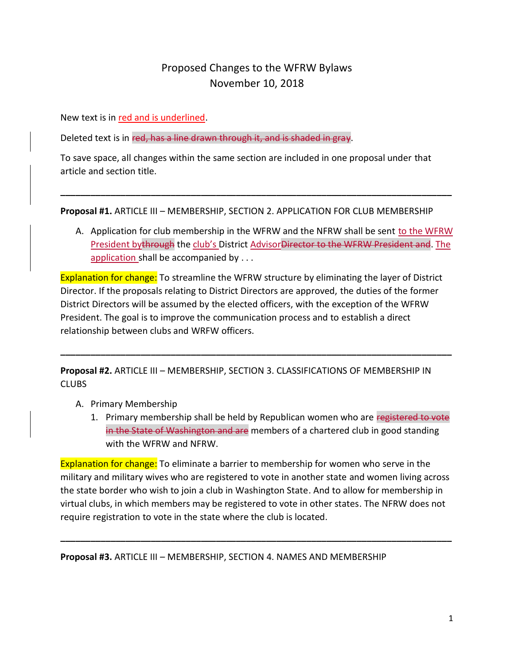## Proposed Changes to the WFRW Bylaws November 10, 2018

New text is in red and is underlined.

Deleted text is in red, has a line drawn through it, and is shaded in gray.

To save space, all changes within the same section are included in one proposal under that article and section title.

**Proposal #1.** ARTICLE III – MEMBERSHIP, SECTION 2. APPLICATION FOR CLUB MEMBERSHIP

**\_\_\_\_\_\_\_\_\_\_\_\_\_\_\_\_\_\_\_\_\_\_\_\_\_\_\_\_\_\_\_\_\_\_\_\_\_\_\_\_\_\_\_\_\_\_\_\_\_\_\_\_\_\_\_\_\_\_\_\_\_\_\_\_\_\_\_\_\_\_\_\_\_\_\_\_\_\_**

A. Application for club membership in the WFRW and the NFRW shall be sent to the WFRW President bythrough the club's District AdvisorDirector to the WFRW President and. The application shall be accompanied by . . .

Explanation for change: To streamline the WFRW structure by eliminating the layer of District Director. If the proposals relating to District Directors are approved, the duties of the former District Directors will be assumed by the elected officers, with the exception of the WFRW President. The goal is to improve the communication process and to establish a direct relationship between clubs and WRFW officers.

**\_\_\_\_\_\_\_\_\_\_\_\_\_\_\_\_\_\_\_\_\_\_\_\_\_\_\_\_\_\_\_\_\_\_\_\_\_\_\_\_\_\_\_\_\_\_\_\_\_\_\_\_\_\_\_\_\_\_\_\_\_\_\_\_\_\_\_\_\_\_\_\_\_\_\_\_\_\_**

**Proposal #2.** ARTICLE III – MEMBERSHIP, SECTION 3. CLASSIFICATIONS OF MEMBERSHIP IN **CLUBS** 

- A. Primary Membership
	- 1. Primary membership shall be held by Republican women who are registered to vote in the State of Washington and are members of a chartered club in good standing with the WFRW and NFRW.

Explanation for change: To eliminate a barrier to membership for women who serve in the military and military wives who are registered to vote in another state and women living across the state border who wish to join a club in Washington State. And to allow for membership in virtual clubs, in which members may be registered to vote in other states. The NFRW does not require registration to vote in the state where the club is located.

**\_\_\_\_\_\_\_\_\_\_\_\_\_\_\_\_\_\_\_\_\_\_\_\_\_\_\_\_\_\_\_\_\_\_\_\_\_\_\_\_\_\_\_\_\_\_\_\_\_\_\_\_\_\_\_\_\_\_\_\_\_\_\_\_\_\_\_\_\_\_\_\_\_\_\_\_\_\_**

**Proposal #3.** ARTICLE III – MEMBERSHIP, SECTION 4. NAMES AND MEMBERSHIP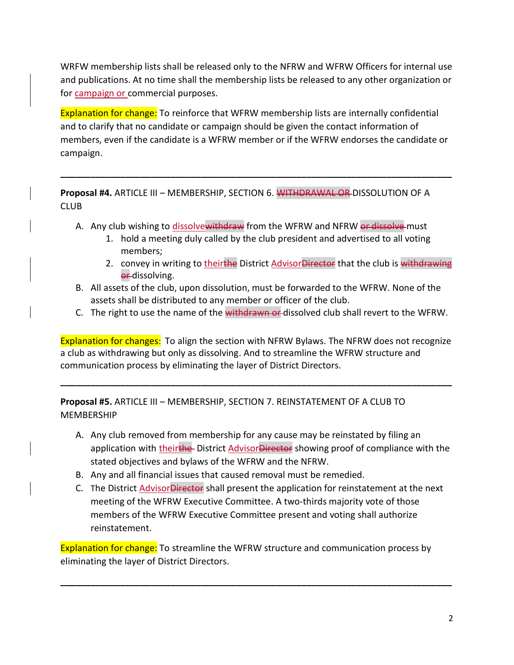WRFW membership lists shall be released only to the NFRW and WFRW Officers for internal use and publications. At no time shall the membership lists be released to any other organization or for campaign or commercial purposes.

Explanation for change: To reinforce that WFRW membership lists are internally confidential and to clarify that no candidate or campaign should be given the contact information of members, even if the candidate is a WFRW member or if the WFRW endorses the candidate or campaign.

**\_\_\_\_\_\_\_\_\_\_\_\_\_\_\_\_\_\_\_\_\_\_\_\_\_\_\_\_\_\_\_\_\_\_\_\_\_\_\_\_\_\_\_\_\_\_\_\_\_\_\_\_\_\_\_\_\_\_\_\_\_\_\_\_\_\_\_\_\_\_\_\_\_\_\_\_\_\_**

**Proposal #4.** ARTICLE III – MEMBERSHIP, SECTION 6. WITHDRAWAL OR DISSOLUTION OF A CLUB

- A. Any club wishing to dissolvewithdraw from the WFRW and NFRW or dissolve must
	- 1. hold a meeting duly called by the club president and advertised to all voting members;
	- 2. convey in writing to theirthe District Advisor Director that the club is withdrawing or-dissolving.
- B. All assets of the club, upon dissolution, must be forwarded to the WFRW. None of the assets shall be distributed to any member or officer of the club.
- C. The right to use the name of the withdrawn or dissolved club shall revert to the WFRW.

Explanation for changes: To align the section with NFRW Bylaws. The NFRW does not recognize a club as withdrawing but only as dissolving. And to streamline the WFRW structure and communication process by eliminating the layer of District Directors.

**\_\_\_\_\_\_\_\_\_\_\_\_\_\_\_\_\_\_\_\_\_\_\_\_\_\_\_\_\_\_\_\_\_\_\_\_\_\_\_\_\_\_\_\_\_\_\_\_\_\_\_\_\_\_\_\_\_\_\_\_\_\_\_\_\_\_\_\_\_\_\_\_\_\_\_\_\_\_**

**Proposal #5.** ARTICLE III – MEMBERSHIP, SECTION 7. REINSTATEMENT OF A CLUB TO MEMBERSHIP

- A. Any club removed from membership for any cause may be reinstated by filing an application with theirthe District AdvisorDirector showing proof of compliance with the stated objectives and bylaws of the WFRW and the NFRW.
- B. Any and all financial issues that caused removal must be remedied.
- C. The District Advisor Director shall present the application for reinstatement at the next meeting of the WFRW Executive Committee. A two-thirds majority vote of those members of the WFRW Executive Committee present and voting shall authorize reinstatement.

Explanation for change: To streamline the WFRW structure and communication process by eliminating the layer of District Directors.

**\_\_\_\_\_\_\_\_\_\_\_\_\_\_\_\_\_\_\_\_\_\_\_\_\_\_\_\_\_\_\_\_\_\_\_\_\_\_\_\_\_\_\_\_\_\_\_\_\_\_\_\_\_\_\_\_\_\_\_\_\_\_\_\_\_\_\_\_\_\_\_\_\_\_\_\_\_\_**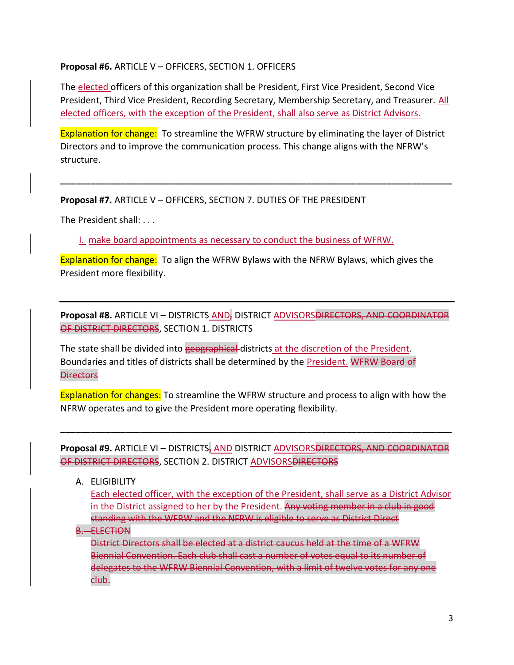## **Proposal #6.** ARTICLE V – OFFICERS, SECTION 1. OFFICERS

The elected officers of this organization shall be President, First Vice President, Second Vice President, Third Vice President, Recording Secretary, Membership Secretary, and Treasurer. All elected officers, with the exception of the President, shall also serve as District Advisors.

Explanation for change: To streamline the WFRW structure by eliminating the layer of District Directors and to improve the communication process. This change aligns with the NFRW's structure.

**\_\_\_\_\_\_\_\_\_\_\_\_\_\_\_\_\_\_\_\_\_\_\_\_\_\_\_\_\_\_\_\_\_\_\_\_\_\_\_\_\_\_\_\_\_\_\_\_\_\_\_\_\_\_\_\_\_\_\_\_\_\_\_\_\_\_\_\_\_\_\_\_\_\_\_\_\_\_**

**Proposal #7.** ARTICLE V – OFFICERS, SECTION 7. DUTIES OF THE PRESIDENT

The President shall: . . .

I. make board appointments as necessary to conduct the business of WFRW.

Explanation for change: To align the WFRW Bylaws with the NFRW Bylaws, which gives the President more flexibility.

**Proposal #8.** ARTICLE VI – DISTRICTS AND, DISTRICT ADVISORS DIRECTORS, AND COORDINATOR OF DISTRICT DIRECTORS, SECTION 1. DISTRICTS

The state shall be divided into geographical districts at the discretion of the President. Boundaries and titles of districts shall be determined by the President. WFRW Board of **Directors** 

Explanation for changes: To streamline the WFRW structure and process to align with how the NFRW operates and to give the President more operating flexibility.

Proposal #9. ARTICLE VI - DISTRICTS, AND DISTRICT ADVISORS DIRECTORS, AND COORDINATOR OF DISTRICT DIRECTORS, SECTION 2. DISTRICT ADVISORS DIRECTORS

**\_\_\_\_\_\_\_\_\_\_\_\_\_\_\_\_\_\_\_\_\_\_\_\_\_\_\_\_\_\_\_\_\_\_\_\_\_\_\_\_\_\_\_\_\_\_\_\_\_\_\_\_\_\_\_\_\_\_\_\_\_\_\_\_\_\_\_\_\_\_\_\_\_\_\_\_\_\_**

A. ELIGIBILITY

Each elected officer, with the exception of the President, shall serve as a District Advisor in the District assigned to her by the President. Any voting member in a club in good standing with the WFRW and the NFRW is eligible to serve as District Direct

B. ELECTION

District Directors shall be elected at a district caucus held at the time of a WFRW Biennial Convention. Each club shall cast a number of votes equal to its number of delegates to the WFRW Biennial Convention, with a limit of twelve votes for any one club.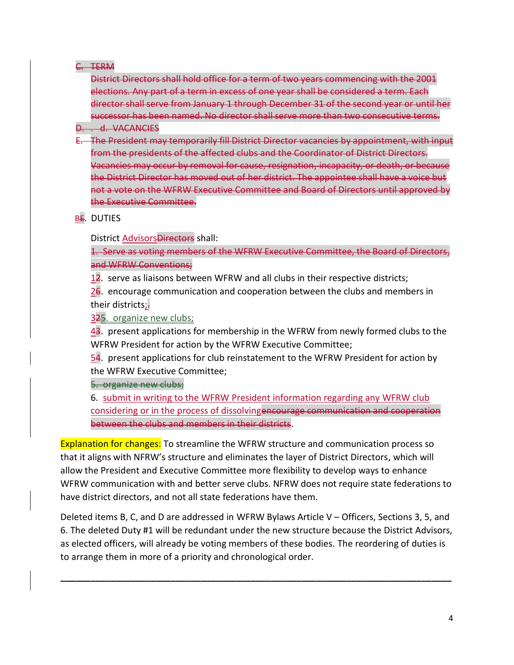## C. TERM

District Directors shall hold office for a term of two years commencing with the 2001 elections. Any part of a term in excess of one year shall be considered a term. Each director shall serve from January 1 through December 31 of the second year or until her successor has been named. No director shall serve more than two consecutive terms.

- D. . d. VACANCIES
- E. The President may temporarily fill District Director vacancies by appointment, with input from the presidents of the affected clubs and the Coordinator of District Directors. Vacancies may occur by removal for cause, resignation, incapacity, or death, or because the District Director has moved out of her district. The appointee shall have a voice but not a vote on the WFRW Executive Committee and Board of Directors until approved by the Executive Committee.

BE. DUTIES

District Advisors Directors shall:

1. Serve as voting members of the WFRW Executive Committee, the Board of Directors, and WFRW Conventions;

12. serve as liaisons between WFRW and all clubs in their respective districts;

26. encourage communication and cooperation between the clubs and members in their districts;

325. organize new clubs;

43. present applications for membership in the WFRW from newly formed clubs to the WFRW President for action by the WFRW Executive Committee;

54. present applications for club reinstatement to the WFRW President for action by the WFRW Executive Committee;

5. organize new clubs;

6. submit in writing to the WFRW President information regarding any WFRW club considering or in the process of dissolvingencourage communication and cooperation between the clubs and members in their districts.

Explanation for changes: To streamline the WFRW structure and communication process so that it aligns with NFRW's structure and eliminates the layer of District Directors, which will allow the President and Executive Committee more flexibility to develop ways to enhance WFRW communication with and better serve clubs. NFRW does not require state federations to have district directors, and not all state federations have them.

Deleted items B, C, and D are addressed in WFRW Bylaws Article V – Officers, Sections 3, 5, and 6. The deleted Duty #1 will be redundant under the new structure because the District Advisors, as elected officers, will already be voting members of these bodies. The reordering of duties is to arrange them in more of a priority and chronological order.

**\_\_\_\_\_\_\_\_\_\_\_\_\_\_\_\_\_\_\_\_\_\_\_\_\_\_\_\_\_\_\_\_\_\_\_\_\_\_\_\_\_\_\_\_\_\_\_\_\_\_\_\_\_\_\_\_\_\_\_\_\_\_\_\_\_\_\_\_\_\_\_\_\_\_\_\_\_\_**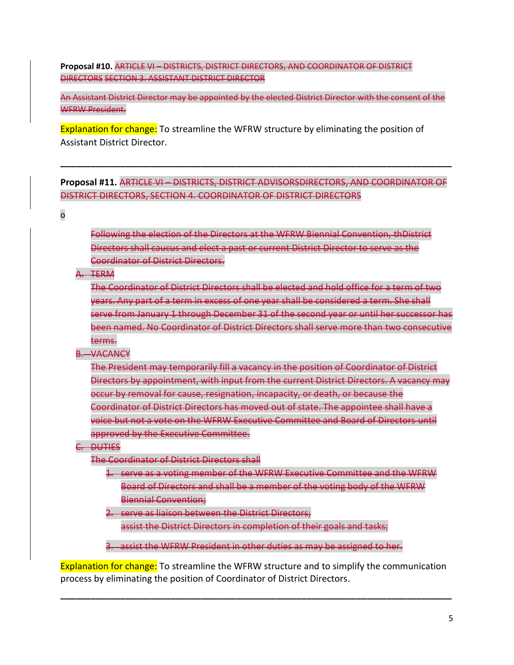**Proposal #10.** ARTICLE VI – DISTRICTS, DISTRICT DIRECTORS, AND COORDINATOR OF DISTRICT DIRECTORS SECTION 3. ASSISTANT DISTRICT DIRECTOR

An Assistant District Director may be appointed by the elected District Director with the consent of the WFRW President.

Explanation for change: To streamline the WFRW structure by eliminating the position of Assistant District Director.

**Proposal #11.** ARTICLE VI – DISTRICTS, DISTRICT ADVISORSDIRECTORS, AND COORDINATOR OF DISTRICT DIRECTORS, SECTION 4. COORDINATOR OF DISTRICT DIRECTORS

**\_\_\_\_\_\_\_\_\_\_\_\_\_\_\_\_\_\_\_\_\_\_\_\_\_\_\_\_\_\_\_\_\_\_\_\_\_\_\_\_\_\_\_\_\_\_\_\_\_\_\_\_\_\_\_\_\_\_\_\_\_\_\_\_\_\_\_\_\_\_\_\_\_\_\_\_\_\_**

o

Following the election of the Directors at the WFRW Biennial Convention, thDistrict Directors shall caucus and elect a past or current District Director to serve as the Coordinator of District Directors.

A. TERM

The Coordinator of District Directors shall be elected and hold office for a term of two years. Any part of a term in excess of one year shall be considered a term. She shall serve from January 1 through December 31 of the second year or until her successor has been named. No Coordinator of District Directors shall serve more than two consecutive terms.

B. VACANCY

The President may temporarily fill a vacancy in the position of Coordinator of District Directors by appointment, with input from the current District Directors. A vacancy may occur by removal for cause, resignation, incapacity, or death, or because the Coordinator of District Directors has moved out of state. The appointee shall have a voice but not a vote on the WFRW Executive Committee and Board of Directors until approved by the Executive Committee.

C. DUTIES

The Coordinator of District Directors shall

- 1. serve as a voting member of the WFRW Executive Committee and the WFRW Board of Directors and shall be a member of the voting body of the WFRW Biennial Convention;
- 2. serve as liaison between the District Directors; assist the District Directors in completion of their goals and tasks;

3. assist the WFRW President in other duties as may be assigned to her.

Explanation for change: To streamline the WFRW structure and to simplify the communication process by eliminating the position of Coordinator of District Directors.

**\_\_\_\_\_\_\_\_\_\_\_\_\_\_\_\_\_\_\_\_\_\_\_\_\_\_\_\_\_\_\_\_\_\_\_\_\_\_\_\_\_\_\_\_\_\_\_\_\_\_\_\_\_\_\_\_\_\_\_\_\_\_\_\_\_\_\_\_\_\_\_\_\_\_\_\_\_\_**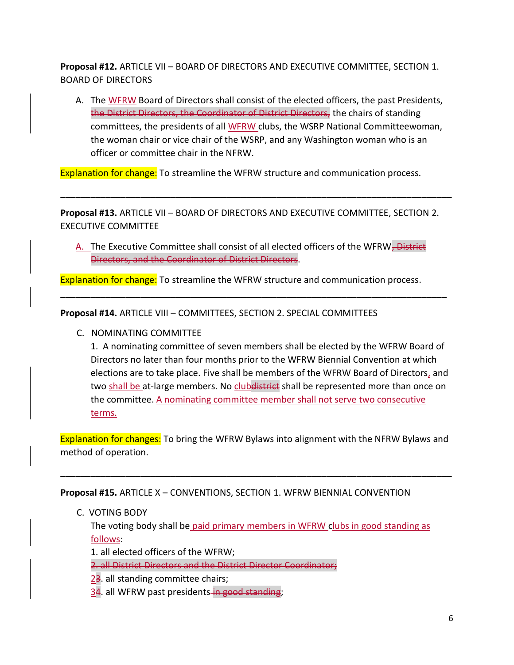**Proposal #12.** ARTICLE VII – BOARD OF DIRECTORS AND EXECUTIVE COMMITTEE, SECTION 1. BOARD OF DIRECTORS

A. The WFRW Board of Directors shall consist of the elected officers, the past Presidents, the District Directors, the Coordinator of District Directors, the chairs of standing committees, the presidents of all WFRW clubs, the WSRP National Committeewoman, the woman chair or vice chair of the WSRP, and any Washington woman who is an officer or committee chair in the NFRW.

Explanation for change: To streamline the WFRW structure and communication process.

**Proposal #13.** ARTICLE VII – BOARD OF DIRECTORS AND EXECUTIVE COMMITTEE, SECTION 2. EXECUTIVE COMMITTEE

**\_\_\_\_\_\_\_\_\_\_\_\_\_\_\_\_\_\_\_\_\_\_\_\_\_\_\_\_\_\_\_\_\_\_\_\_\_\_\_\_\_\_\_\_\_\_\_\_\_\_\_\_\_\_\_\_\_\_\_\_\_\_\_\_\_\_\_\_\_\_\_\_\_\_\_\_\_\_**

A. The Executive Committee shall consist of all elected officers of the WFRW<del>, District</del> Directors, and the Coordinator of District Directors.

**\_\_\_\_\_\_\_\_\_\_\_\_\_\_\_\_\_\_\_\_\_\_\_\_\_\_\_\_\_\_\_\_\_\_\_\_\_\_\_\_\_\_\_\_\_\_\_\_\_\_\_\_\_\_\_\_\_\_\_\_\_\_\_\_\_\_\_\_\_\_\_\_\_\_\_\_\_**

Explanation for change: To streamline the WFRW structure and communication process.

**Proposal #14.** ARTICLE VIII – COMMITTEES, SECTION 2. SPECIAL COMMITTEES

C. NOMINATING COMMITTEE

1. A nominating committee of seven members shall be elected by the WFRW Board of Directors no later than four months prior to the WFRW Biennial Convention at which elections are to take place. Five shall be members of the WFRW Board of Directors, and two shall be at-large members. No clubdistrict shall be represented more than once on the committee. A nominating committee member shall not serve two consecutive terms.

Explanation for changes: To bring the WFRW Bylaws into alignment with the NFRW Bylaws and method of operation.

**\_\_\_\_\_\_\_\_\_\_\_\_\_\_\_\_\_\_\_\_\_\_\_\_\_\_\_\_\_\_\_\_\_\_\_\_\_\_\_\_\_\_\_\_\_\_\_\_\_\_\_\_\_\_\_\_\_\_\_\_\_\_\_\_\_\_\_\_\_\_\_\_\_\_\_\_\_\_**

**Proposal #15.** ARTICLE X – CONVENTIONS, SECTION 1. WFRW BIENNIAL CONVENTION

C. VOTING BODY

The voting body shall be paid primary members in WFRW clubs in good standing as follows:

1. all elected officers of the WFRW;

2. all District Directors and the District Director Coordinator;

- 23. all standing committee chairs;
- 34. all WFRW past presidents-in good standing;